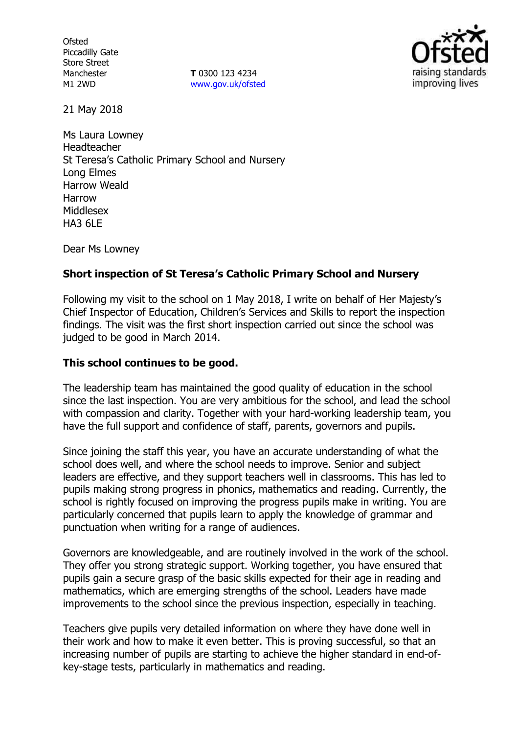**Ofsted** Piccadilly Gate Store Street Manchester M1 2WD

**T** 0300 123 4234 www.gov.uk/ofsted



21 May 2018

Ms Laura Lowney Headteacher St Teresa's Catholic Primary School and Nursery Long Elmes Harrow Weald Harrow Middlesex **HA3 6LF** 

Dear Ms Lowney

### **Short inspection of St Teresa's Catholic Primary School and Nursery**

Following my visit to the school on 1 May 2018, I write on behalf of Her Majesty's Chief Inspector of Education, Children's Services and Skills to report the inspection findings. The visit was the first short inspection carried out since the school was judged to be good in March 2014.

#### **This school continues to be good.**

The leadership team has maintained the good quality of education in the school since the last inspection. You are very ambitious for the school, and lead the school with compassion and clarity. Together with your hard-working leadership team, you have the full support and confidence of staff, parents, governors and pupils.

Since joining the staff this year, you have an accurate understanding of what the school does well, and where the school needs to improve. Senior and subject leaders are effective, and they support teachers well in classrooms. This has led to pupils making strong progress in phonics, mathematics and reading. Currently, the school is rightly focused on improving the progress pupils make in writing. You are particularly concerned that pupils learn to apply the knowledge of grammar and punctuation when writing for a range of audiences.

Governors are knowledgeable, and are routinely involved in the work of the school. They offer you strong strategic support. Working together, you have ensured that pupils gain a secure grasp of the basic skills expected for their age in reading and mathematics, which are emerging strengths of the school. Leaders have made improvements to the school since the previous inspection, especially in teaching.

Teachers give pupils very detailed information on where they have done well in their work and how to make it even better. This is proving successful, so that an increasing number of pupils are starting to achieve the higher standard in end-ofkey-stage tests, particularly in mathematics and reading.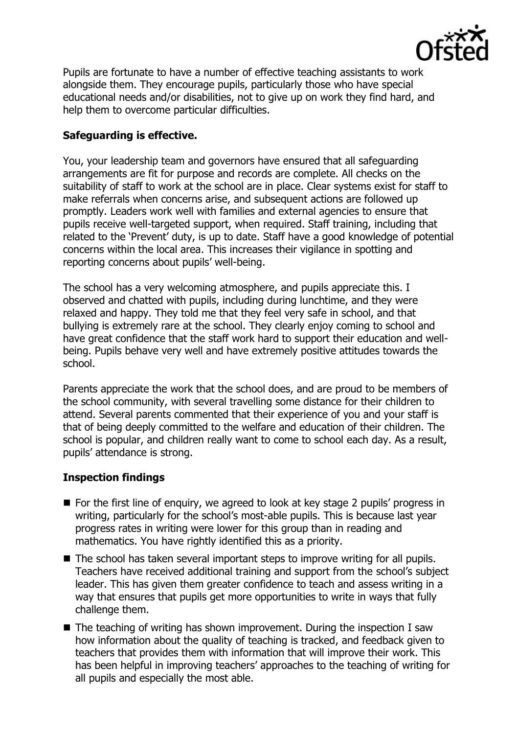

Pupils are fortunate to have a number of effective teaching assistants to work alongside them. They encourage pupils, particularly those who have special educational needs and/or disabilities, not to give up on work they find hard, and help them to overcome particular difficulties.

# **Safeguarding is effective.**

You, your leadership team and governors have ensured that all safeguarding arrangements are fit for purpose and records are complete. All checks on the suitability of staff to work at the school are in place. Clear systems exist for staff to make referrals when concerns arise, and subsequent actions are followed up promptly. Leaders work well with families and external agencies to ensure that pupils receive well-targeted support, when required. Staff training, including that related to the 'Prevent' duty, is up to date. Staff have a good knowledge of potential concerns within the local area. This increases their vigilance in spotting and reporting concerns about pupils' well-being.

The school has a very welcoming atmosphere, and pupils appreciate this. I observed and chatted with pupils, including during lunchtime, and they were relaxed and happy. They told me that they feel very safe in school, and that bullying is extremely rare at the school. They clearly enjoy coming to school and have great confidence that the staff work hard to support their education and wellbeing. Pupils behave very well and have extremely positive attitudes towards the school.

Parents appreciate the work that the school does, and are proud to be members of the school community, with several travelling some distance for their children to attend. Several parents commented that their experience of you and your staff is that of being deeply committed to the welfare and education of their children. The school is popular, and children really want to come to school each day. As a result, pupils' attendance is strong.

### **Inspection findings**

- For the first line of enquiry, we agreed to look at key stage 2 pupils' progress in writing, particularly for the school's most-able pupils. This is because last year progress rates in writing were lower for this group than in reading and mathematics. You have rightly identified this as a priority.
- $\blacksquare$  The school has taken several important steps to improve writing for all pupils. Teachers have received additional training and support from the school's subject leader. This has given them greater confidence to teach and assess writing in a way that ensures that pupils get more opportunities to write in ways that fully challenge them.
- The teaching of writing has shown improvement. During the inspection I saw how information about the quality of teaching is tracked, and feedback given to teachers that provides them with information that will improve their work. This has been helpful in improving teachers' approaches to the teaching of writing for all pupils and especially the most able.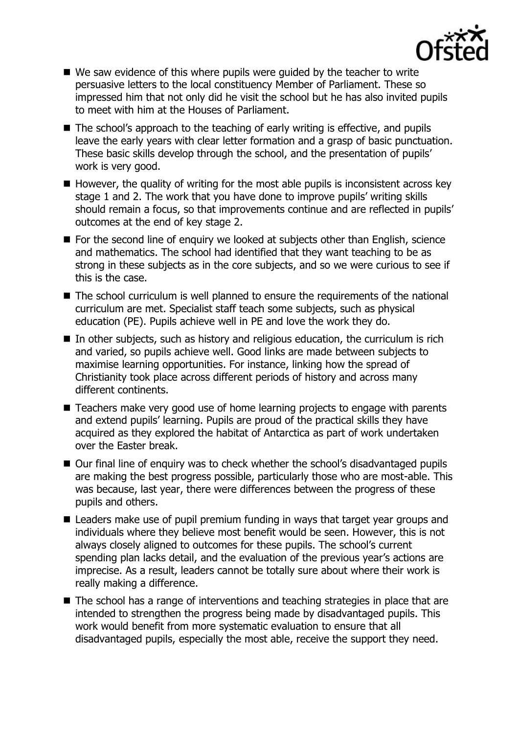

- $\blacksquare$  We saw evidence of this where pupils were guided by the teacher to write persuasive letters to the local constituency Member of Parliament. These so impressed him that not only did he visit the school but he has also invited pupils to meet with him at the Houses of Parliament.
- The school's approach to the teaching of early writing is effective, and pupils leave the early years with clear letter formation and a grasp of basic punctuation. These basic skills develop through the school, and the presentation of pupils' work is very good.
- $\blacksquare$  However, the quality of writing for the most able pupils is inconsistent across key stage 1 and 2. The work that you have done to improve pupils' writing skills should remain a focus, so that improvements continue and are reflected in pupils' outcomes at the end of key stage 2.
- $\blacksquare$  For the second line of enquiry we looked at subjects other than English, science and mathematics. The school had identified that they want teaching to be as strong in these subjects as in the core subjects, and so we were curious to see if this is the case.
- The school curriculum is well planned to ensure the requirements of the national curriculum are met. Specialist staff teach some subjects, such as physical education (PE). Pupils achieve well in PE and love the work they do.
- $\blacksquare$  In other subjects, such as history and religious education, the curriculum is rich and varied, so pupils achieve well. Good links are made between subjects to maximise learning opportunities. For instance, linking how the spread of Christianity took place across different periods of history and across many different continents.
- Teachers make very good use of home learning projects to engage with parents and extend pupils' learning. Pupils are proud of the practical skills they have acquired as they explored the habitat of Antarctica as part of work undertaken over the Easter break.
- Our final line of enquiry was to check whether the school's disadvantaged pupils are making the best progress possible, particularly those who are most-able. This was because, last year, there were differences between the progress of these pupils and others.
- Leaders make use of pupil premium funding in ways that target year groups and individuals where they believe most benefit would be seen. However, this is not always closely aligned to outcomes for these pupils. The school's current spending plan lacks detail, and the evaluation of the previous year's actions are imprecise. As a result, leaders cannot be totally sure about where their work is really making a difference.
- The school has a range of interventions and teaching strategies in place that are intended to strengthen the progress being made by disadvantaged pupils. This work would benefit from more systematic evaluation to ensure that all disadvantaged pupils, especially the most able, receive the support they need.